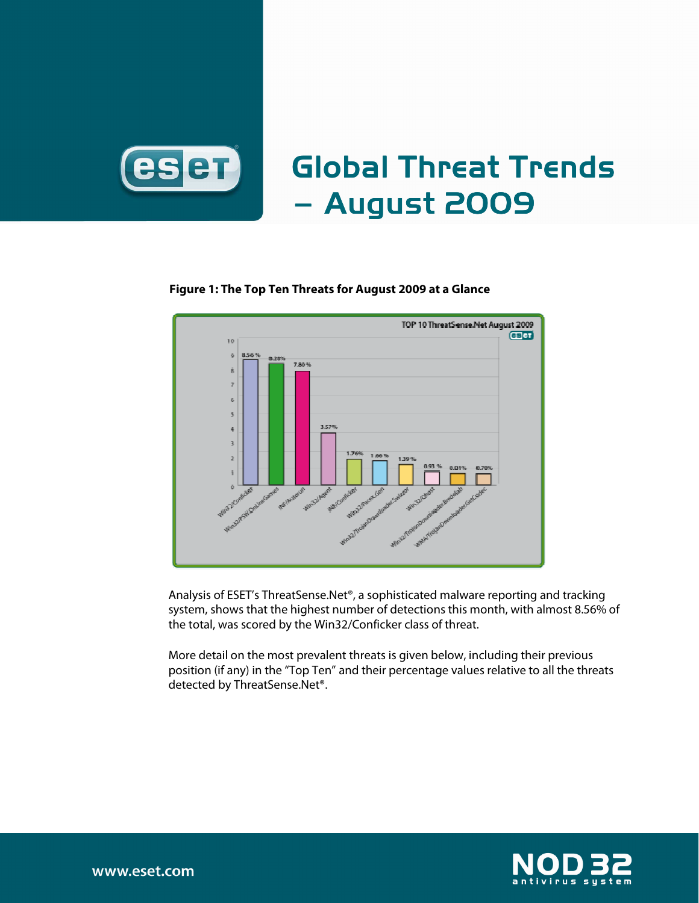

# Global Threat Trends – August 2009

## **Figure 1: The Top Ten Threats for August 2009 at a Glance**



Analysis of ESET's ThreatSense.Net®, a sophisticated malware reporting and tracking system, shows that the highest number of detections this month, with almost 8.56% of the total, was scored by the Win32/Conficker class of threat.

More detail on the most prevalent threats is given below, including their previous position (if any) in the "Top Ten" and their percentage values relative to all the threats detected by ThreatSense.Net®.

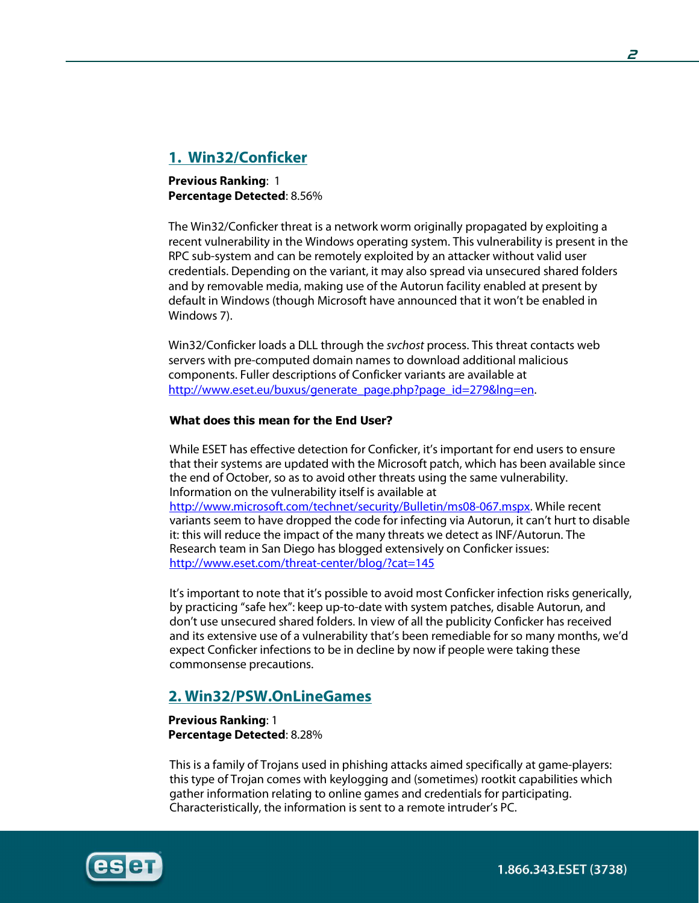# **1. Win32/Conficker**

**Previous Ranking**: 1 **Percentage Detected**: 8.56%

The Win32/Conficker threat is a network worm originally propagated by exploiting a recent vulnerability in the Windows operating system. This vulnerability is present in the RPC sub-system and can be remotely exploited by an attacker without valid user credentials. Depending on the variant, it may also spread via unsecured shared folders and by removable media, making use of the Autorun facility enabled at present by default in Windows (though Microsoft have announced that it won't be enabled in Windows 7).

Win32/Conficker loads a DLL through the svchost process. This threat contacts web servers with pre-computed domain names to download additional malicious components. Fuller descriptions of Conficker variants are available at http://www.eset.eu/buxus/generate\_page.php?page\_id=279&lng=en.

## What does this mean for the End User?

While ESET has effective detection for Conficker, it's important for end users to ensure that their systems are updated with the Microsoft patch, which has been available since the end of October, so as to avoid other threats using the same vulnerability. Information on the vulnerability itself is available at http://www.microsoft.com/technet/security/Bulletin/ms08-067.mspx. While recent variants seem to have dropped the code for infecting via Autorun, it can't hurt to disable it: this will reduce the impact of the many threats we detect as INF/Autorun. The Research team in San Diego has blogged extensively on Conficker issues: http://www.eset.com/threat-center/blog/?cat=145

It's important to note that it's possible to avoid most Conficker infection risks generically, by practicing "safe hex": keep up-to-date with system patches, disable Autorun, and don't use unsecured shared folders. In view of all the publicity Conficker has received and its extensive use of a vulnerability that's been remediable for so many months, we'd expect Conficker infections to be in decline by now if people were taking these commonsense precautions.

# **2. Win32/PSW.OnLineGames**

**Previous Ranking**: 1 **Percentage Detected**: 8.28%

This is a family of Trojans used in phishing attacks aimed specifically at game-players: this type of Trojan comes with keylogging and (sometimes) rootkit capabilities which gather information relating to online games and credentials for participating. Characteristically, the information is sent to a remote intruder's PC.

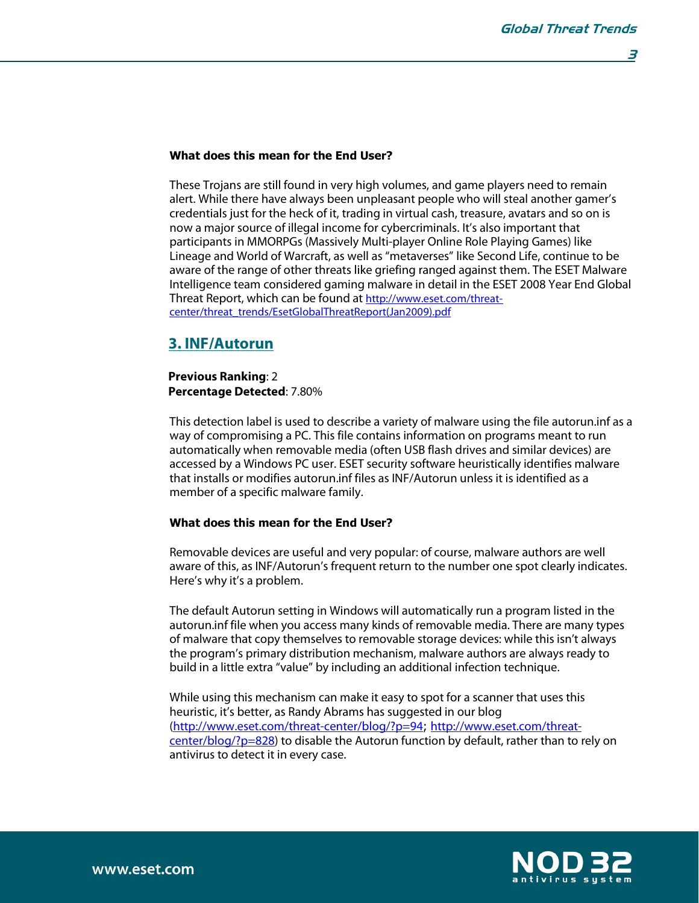**3** 

#### What does this mean for the End User?

These Trojans are still found in very high volumes, and game players need to remain alert. While there have always been unpleasant people who will steal another gamer's credentials just for the heck of it, trading in virtual cash, treasure, avatars and so on is now a major source of illegal income for cybercriminals. It's also important that participants in MMORPGs (Massively Multi-player Online Role Playing Games) like Lineage and World of Warcraft, as well as "metaverses" like Second Life, continue to be aware of the range of other threats like griefing ranged against them. The ESET Malware Intelligence team considered gaming malware in detail in the ESET 2008 Year End Global Threat Report, which can be found at http://www.eset.com/threatcenter/threat\_trends/EsetGlobalThreatReport(Jan2009).pdf

# **3. INF/Autorun**

## **Previous Ranking**: 2 **Percentage Detected**: 7.80%

This detection label is used to describe a variety of malware using the file autorun.inf as a way of compromising a PC. This file contains information on programs meant to run automatically when removable media (often USB flash drives and similar devices) are accessed by a Windows PC user. ESET security software heuristically identifies malware that installs or modifies autorun.inf files as INF/Autorun unless it is identified as a member of a specific malware family.

## What does this mean for the End User?

Removable devices are useful and very popular: of course, malware authors are well aware of this, as INF/Autorun's frequent return to the number one spot clearly indicates. Here's why it's a problem.

The default Autorun setting in Windows will automatically run a program listed in the autorun.inf file when you access many kinds of removable media. There are many types of malware that copy themselves to removable storage devices: while this isn't always the program's primary distribution mechanism, malware authors are always ready to build in a little extra "value" by including an additional infection technique.

While using this mechanism can make it easy to spot for a scanner that uses this heuristic, it's better, as Randy Abrams has suggested in our blog (http://www.eset.com/threat-center/blog/?p=94; http://www.eset.com/threatcenter/blog/?p=828) to disable the Autorun function by default, rather than to rely on antivirus to detect it in every case.

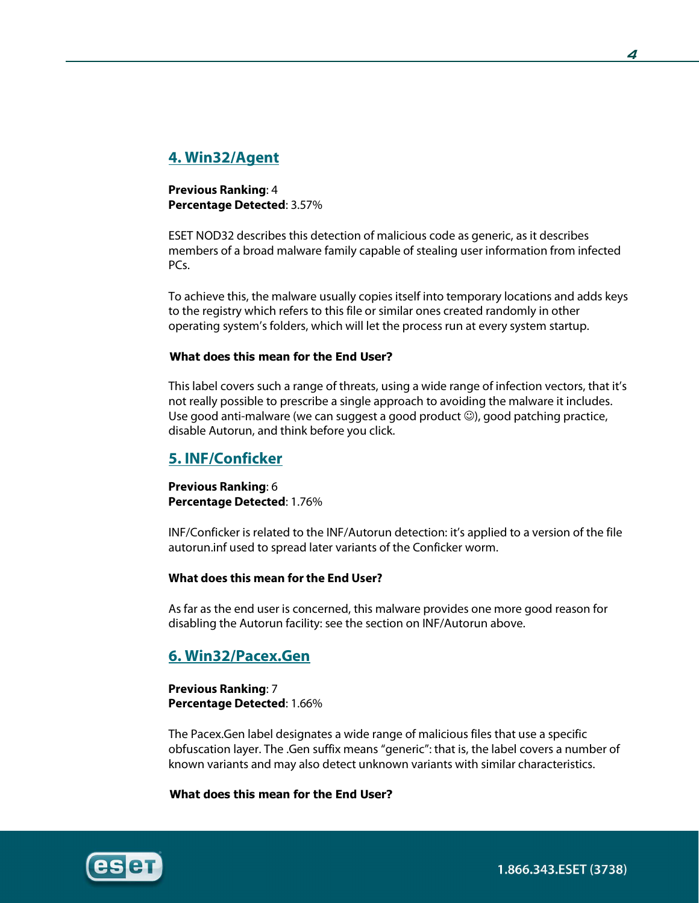# **4. Win32/Agent**

**Previous Ranking**: 4 **Percentage Detected**: 3.57%

ESET NOD32 describes this detection of malicious code as generic, as it describes members of a broad malware family capable of stealing user information from infected PC<sub>s</sub>.

To achieve this, the malware usually copies itself into temporary locations and adds keys to the registry which refers to this file or similar ones created randomly in other operating system's folders, which will let the process run at every system startup.

## What does this mean for the End User?

This label covers such a range of threats, using a wide range of infection vectors, that it's not really possible to prescribe a single approach to avoiding the malware it includes. Use good anti-malware (we can suggest a good product  $\circledcirc$ ), good patching practice, disable Autorun, and think before you click.

# **5. INF/Conficker**

**Previous Ranking**: 6 **Percentage Detected**: 1.76%

INF/Conficker is related to the INF/Autorun detection: it's applied to a version of the file autorun.inf used to spread later variants of the Conficker worm.

## **What does this mean for the End User?**

As far as the end user is concerned, this malware provides one more good reason for disabling the Autorun facility: see the section on INF/Autorun above.

# **6. Win32/Pacex.Gen**

**Previous Ranking**: 7 **Percentage Detected**: 1.66%

The Pacex.Gen label designates a wide range of malicious files that use a specific obfuscation layer. The .Gen suffix means "generic": that is, the label covers a number of known variants and may also detect unknown variants with similar characteristics.

## What does this mean for the End User?



1.866.343.ESET (3738)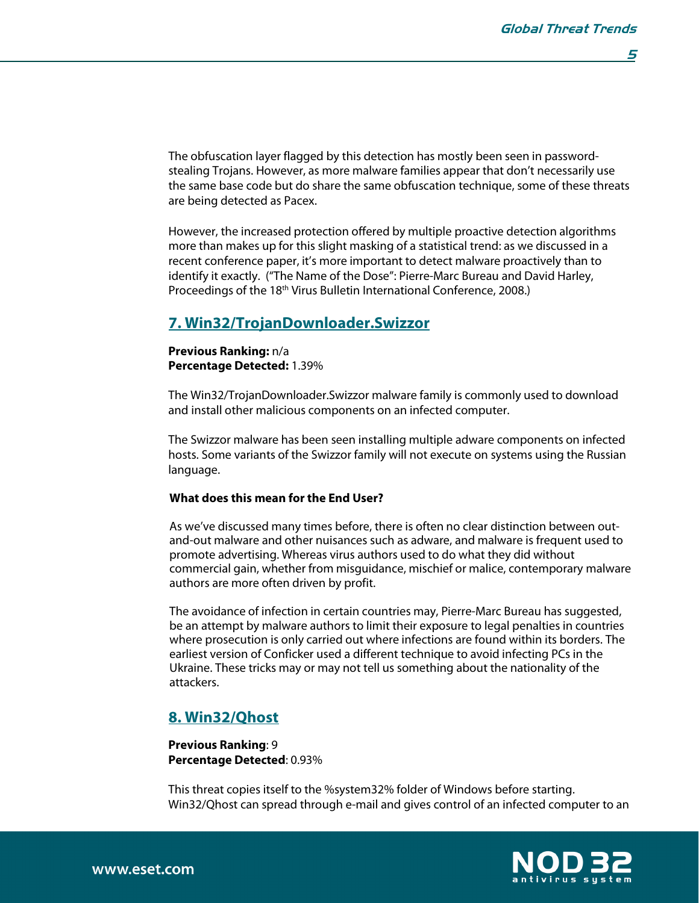The obfuscation layer flagged by this detection has mostly been seen in passwordstealing Trojans. However, as more malware families appear that don't necessarily use the same base code but do share the same obfuscation technique, some of these threats are being detected as Pacex.

However, the increased protection offered by multiple proactive detection algorithms more than makes up for this slight masking of a statistical trend: as we discussed in a recent conference paper, it's more important to detect malware proactively than to identify it exactly. ("The Name of the Dose": Pierre-Marc Bureau and David Harley, Proceedings of the 18<sup>th</sup> Virus Bulletin International Conference, 2008.)

# **7. Win32/TrojanDownloader.Swizzor**

## **Previous Ranking:** n/a **Percentage Detected:** 1.39%

The Win32/TrojanDownloader.Swizzor malware family is commonly used to download and install other malicious components on an infected computer.

The Swizzor malware has been seen installing multiple adware components on infected hosts. Some variants of the Swizzor family will not execute on systems using the Russian language.

## **What does this mean for the End User?**

As we've discussed many times before, there is often no clear distinction between outand-out malware and other nuisances such as adware, and malware is frequent used to promote advertising. Whereas virus authors used to do what they did without commercial gain, whether from misguidance, mischief or malice, contemporary malware authors are more often driven by profit.

The avoidance of infection in certain countries may, Pierre-Marc Bureau has suggested, be an attempt by malware authors to limit their exposure to legal penalties in countries where prosecution is only carried out where infections are found within its borders. The earliest version of Conficker used a different technique to avoid infecting PCs in the Ukraine. These tricks may or may not tell us something about the nationality of the attackers.

# **8. Win32/Qhost**

**Previous Ranking**: 9 **Percentage Detected**: 0.93%

This threat copies itself to the %system32% folder of Windows before starting. Win32/Qhost can spread through e-mail and gives control of an infected computer to an

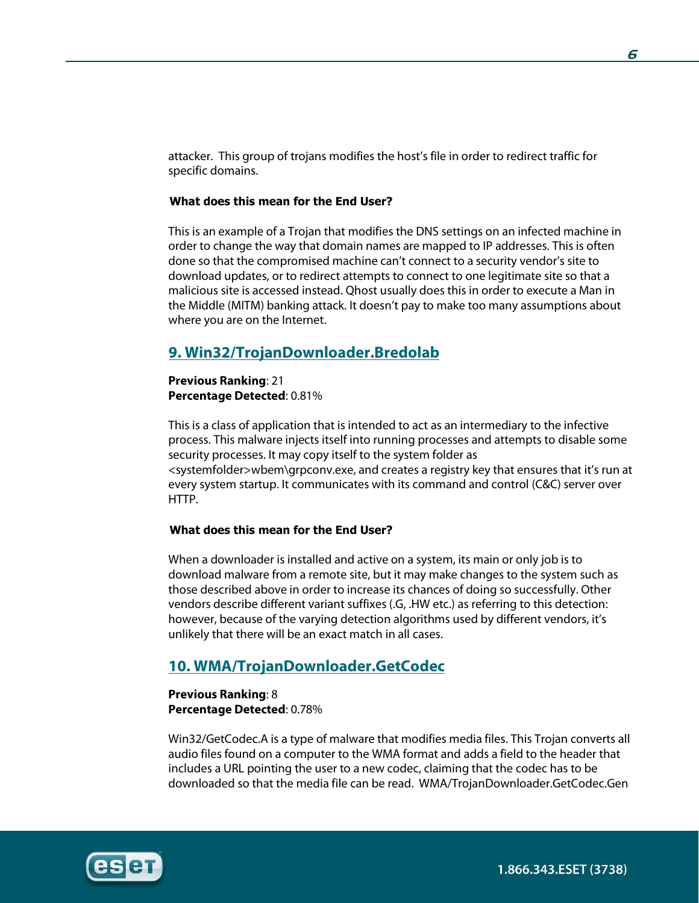attacker. This group of trojans modifies the host's file in order to redirect traffic for specific domains.

## What does this mean for the End User?

This is an example of a Trojan that modifies the DNS settings on an infected machine in order to change the way that domain names are mapped to IP addresses. This is often done so that the compromised machine can't connect to a security vendor's site to download updates, or to redirect attempts to connect to one legitimate site so that a malicious site is accessed instead. Qhost usually does this in order to execute a Man in the Middle (MITM) banking attack. It doesn't pay to make too many assumptions about where you are on the Internet.

# **9. Win32/TrojanDownloader.Bredolab**

**Previous Ranking**: 21 **Percentage Detected**: 0.81%

This is a class of application that is intended to act as an intermediary to the infective process. This malware injects itself into running processes and attempts to disable some security processes. It may copy itself to the system folder as <systemfolder>wbem\grpconv.exe, and creates a registry key that ensures that it's run at every system startup. It communicates with its command and control (C&C) server over HTTP.

## What does this mean for the End User?

When a downloader is installed and active on a system, its main or only job is to download malware from a remote site, but it may make changes to the system such as those described above in order to increase its chances of doing so successfully. Other vendors describe different variant suffixes (.G, .HW etc.) as referring to this detection: however, because of the varying detection algorithms used by different vendors, it's unlikely that there will be an exact match in all cases.

# **10. WMA/TrojanDownloader.GetCodec**

**Previous Ranking**: 8 **Percentage Detected**: 0.78%

Win32/GetCodec.A is a type of malware that modifies media files. This Trojan converts all audio files found on a computer to the WMA format and adds a field to the header that includes a URL pointing the user to a new codec, claiming that the codec has to be downloaded so that the media file can be read. WMA/TrojanDownloader.GetCodec.Gen

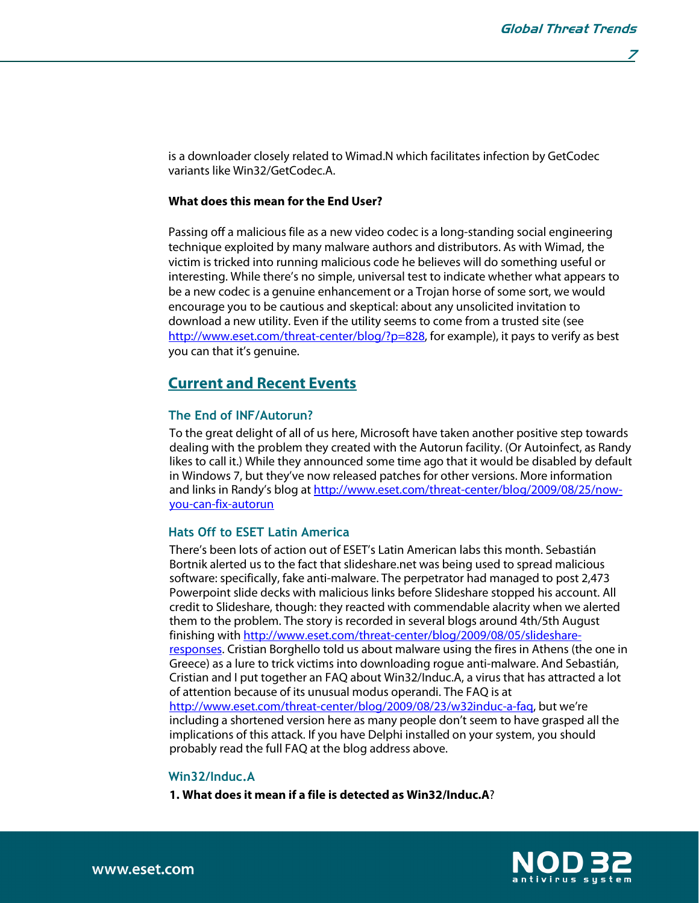**7** 

is a downloader closely related to Wimad.N which facilitates infection by GetCodec variants like Win32/GetCodec.A.

#### **What does this mean for the End User?**

Passing off a malicious file as a new video codec is a long-standing social engineering technique exploited by many malware authors and distributors. As with Wimad, the victim is tricked into running malicious code he believes will do something useful or interesting. While there's no simple, universal test to indicate whether what appears to be a new codec is a genuine enhancement or a Trojan horse of some sort, we would encourage you to be cautious and skeptical: about any unsolicited invitation to download a new utility. Even if the utility seems to come from a trusted site (see http://www.eset.com/threat-center/blog/?p=828, for example), it pays to verify as best you can that it's genuine.

# **Current and Recent Events**

## The End of INF/Autorun?

To the great delight of all of us here, Microsoft have taken another positive step towards dealing with the problem they created with the Autorun facility. (Or Autoinfect, as Randy likes to call it.) While they announced some time ago that it would be disabled by default in Windows 7, but they've now released patches for other versions. More information and links in Randy's blog at http://www.eset.com/threat-center/blog/2009/08/25/nowyou-can-fix-autorun

## Hats Off to ESET Latin America

There's been lots of action out of ESET's Latin American labs this month. Sebastián Bortnik alerted us to the fact that slideshare.net was being used to spread malicious software: specifically, fake anti-malware. The perpetrator had managed to post 2,473 Powerpoint slide decks with malicious links before Slideshare stopped his account. All credit to Slideshare, though: they reacted with commendable alacrity when we alerted them to the problem. The story is recorded in several blogs around 4th/5th August finishing with http://www.eset.com/threat-center/blog/2009/08/05/slideshareresponses. Cristian Borghello told us about malware using the fires in Athens (the one in Greece) as a lure to trick victims into downloading rogue anti-malware. And Sebastián, Cristian and I put together an FAQ about Win32/Induc.A, a virus that has attracted a lot of attention because of its unusual modus operandi. The FAQ is at http://www.eset.com/threat-center/blog/2009/08/23/w32induc-a-faq, but we're including a shortened version here as many people don't seem to have grasped all the implications of this attack. If you have Delphi installed on your system, you should probably read the full FAQ at the blog address above.

#### Win32/Induc.A

**1. What does it mean if a file is detected as Win32/Induc.A**?

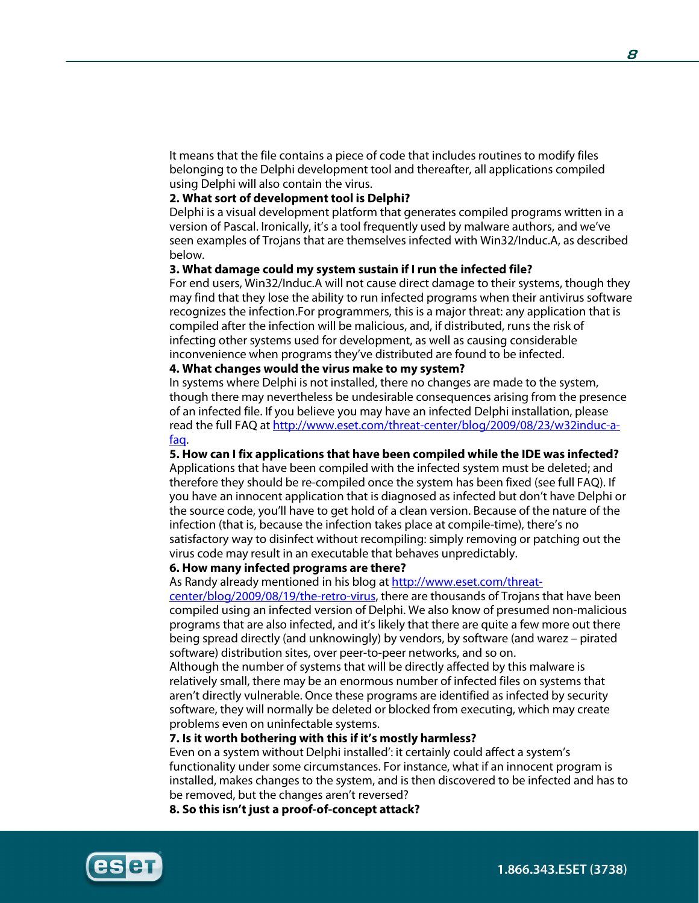It means that the file contains a piece of code that includes routines to modify files belonging to the Delphi development tool and thereafter, all applications compiled using Delphi will also contain the virus.

#### **2. What sort of development tool is Delphi?**

Delphi is a visual development platform that generates compiled programs written in a version of Pascal. Ironically, it's a tool frequently used by malware authors, and we've seen examples of Trojans that are themselves infected with Win32/Induc.A, as described below.

## **3. What damage could my system sustain if I run the infected file?**

For end users, Win32/Induc.A will not cause direct damage to their systems, though they may find that they lose the ability to run infected programs when their antivirus software recognizes the infection.For programmers, this is a major threat: any application that is compiled after the infection will be malicious, and, if distributed, runs the risk of infecting other systems used for development, as well as causing considerable inconvenience when programs they've distributed are found to be infected.

#### **4. What changes would the virus make to my system?**

In systems where Delphi is not installed, there no changes are made to the system, though there may nevertheless be undesirable consequences arising from the presence of an infected file. If you believe you may have an infected Delphi installation, please read the full FAQ at http://www.eset.com/threat-center/blog/2009/08/23/w32induc-afaq.

## **5. How can I fix applications that have been compiled while the IDE was infected?**

Applications that have been compiled with the infected system must be deleted; and therefore they should be re-compiled once the system has been fixed (see full FAQ). If you have an innocent application that is diagnosed as infected but don't have Delphi or the source code, you'll have to get hold of a clean version. Because of the nature of the infection (that is, because the infection takes place at compile-time), there's no satisfactory way to disinfect without recompiling: simply removing or patching out the virus code may result in an executable that behaves unpredictably.

#### **6. How many infected programs are there?**

## As Randy already mentioned in his blog at http://www.eset.com/threat-

center/blog/2009/08/19/the-retro-virus, there are thousands of Trojans that have been compiled using an infected version of Delphi. We also know of presumed non-malicious programs that are also infected, and it's likely that there are quite a few more out there being spread directly (and unknowingly) by vendors, by software (and warez – pirated software) distribution sites, over peer-to-peer networks, and so on.

Although the number of systems that will be directly affected by this malware is relatively small, there may be an enormous number of infected files on systems that aren't directly vulnerable. Once these programs are identified as infected by security software, they will normally be deleted or blocked from executing, which may create problems even on uninfectable systems.

#### **7. Is it worth bothering with this if it's mostly harmless?**

Even on a system without Delphi installed': it certainly could affect a system's functionality under some circumstances. For instance, what if an innocent program is installed, makes changes to the system, and is then discovered to be infected and has to be removed, but the changes aren't reversed?

**8. So this isn't just a proof-of-concept attack?**